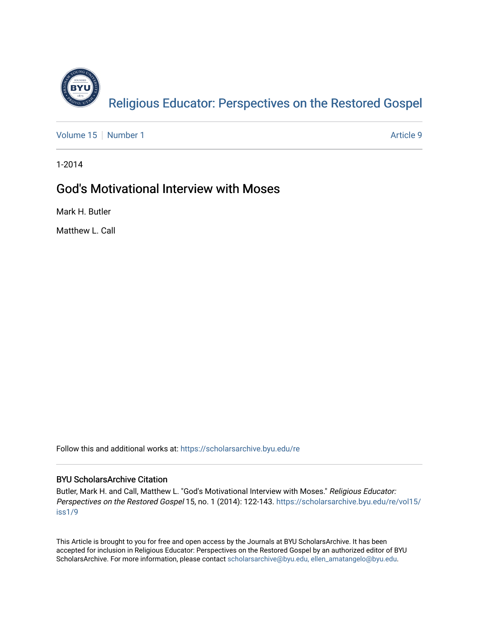

[Volume 15](https://scholarsarchive.byu.edu/re/vol15) [Number 1](https://scholarsarchive.byu.edu/re/vol15/iss1) Article 9

1-2014

# God's Motivational Interview with Moses

Mark H. Butler

Matthew L. Call

Follow this and additional works at: [https://scholarsarchive.byu.edu/re](https://scholarsarchive.byu.edu/re?utm_source=scholarsarchive.byu.edu%2Fre%2Fvol15%2Fiss1%2F9&utm_medium=PDF&utm_campaign=PDFCoverPages)

# BYU ScholarsArchive Citation

Butler, Mark H. and Call, Matthew L. "God's Motivational Interview with Moses." Religious Educator: Perspectives on the Restored Gospel 15, no. 1 (2014): 122-143. [https://scholarsarchive.byu.edu/re/vol15/](https://scholarsarchive.byu.edu/re/vol15/iss1/9?utm_source=scholarsarchive.byu.edu%2Fre%2Fvol15%2Fiss1%2F9&utm_medium=PDF&utm_campaign=PDFCoverPages) [iss1/9](https://scholarsarchive.byu.edu/re/vol15/iss1/9?utm_source=scholarsarchive.byu.edu%2Fre%2Fvol15%2Fiss1%2F9&utm_medium=PDF&utm_campaign=PDFCoverPages)

This Article is brought to you for free and open access by the Journals at BYU ScholarsArchive. It has been accepted for inclusion in Religious Educator: Perspectives on the Restored Gospel by an authorized editor of BYU ScholarsArchive. For more information, please contact [scholarsarchive@byu.edu, ellen\\_amatangelo@byu.edu.](mailto:scholarsarchive@byu.edu,%20ellen_amatangelo@byu.edu)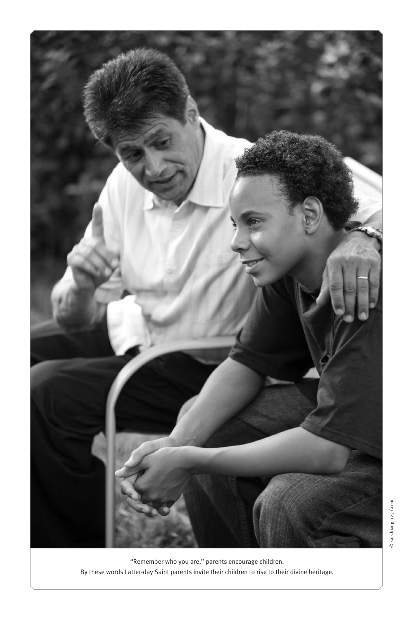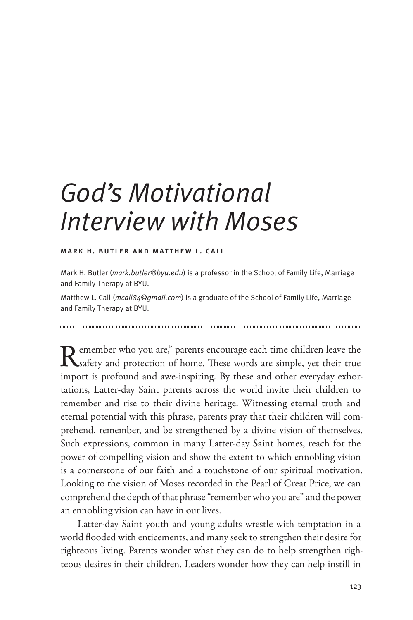# *God's Motivational Interview with Moses*

#### mark h. butler and matthew l. call

Mark H. Butler (*mark.butler@byu.edu*) is a professor in the School of Family Life, Marriage and Family Therapy at BYU.

Matthew L. Call (*mcall84@gmail.com*) is a graduate of the School of Family Life, Marriage and Family Therapy at BYU.

Remember who you are," parents encourage each time children leave the Safety and protection of home. These words are simple, yet their true import is profound and awe-inspiring. By these and other everyday exhortations, Latter-day Saint parents across the world invite their children to remember and rise to their divine heritage. Witnessing eternal truth and eternal potential with this phrase, parents pray that their children will comprehend, remember, and be strengthened by a divine vision of themselves. Such expressions, common in many Latter-day Saint homes, reach for the power of compelling vision and show the extent to which ennobling vision is a cornerstone of our faith and a touchstone of our spiritual motivation. Looking to the vision of Moses recorded in the Pearl of Great Price, we can comprehend the depth of that phrase "remember who you are" and the power an ennobling vision can have in our lives.

Latter-day Saint youth and young adults wrestle with temptation in a world flooded with enticements, and many seek to strengthen their desire for righteous living. Parents wonder what they can do to help strengthen righteous desires in their children. Leaders wonder how they can help instill in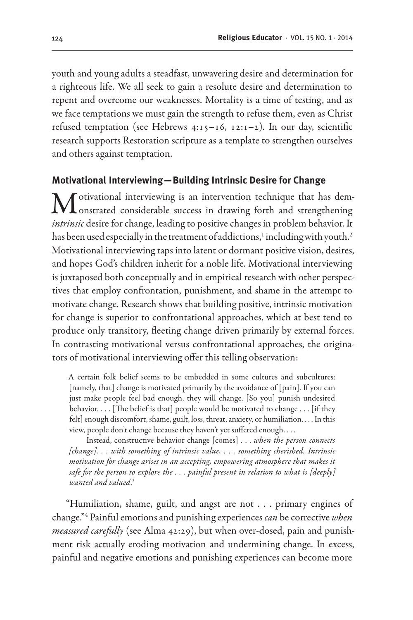youth and young adults a steadfast, unwavering desire and determination for a righteous life. We all seek to gain a resolute desire and determination to repent and overcome our weaknesses. Mortality is a time of testing, and as we face temptations we must gain the strength to refuse them, even as Christ refused temptation (see Hebrews 4:15-16, 12:1-2). In our day, scientific research supports Restoration scripture as a template to strengthen ourselves and others against temptation.

# **Motivational Interviewing—Building Intrinsic Desire for Change**

Motivational interviewing is an intervention technique that has dem-<br>onstrated considerable success in drawing forth and strengthening *intrinsic* desire for change, leading to positive changes in problem behavior. It has been used especially in the treatment of addictions, $^{\rm 1}$  including with youth. $^{\rm 2}$ Motivational interviewing taps into latent or dormant positive vision, desires, and hopes God's children inherit for a noble life. Motivational interviewing is juxtaposed both conceptually and in empirical research with other perspectives that employ confrontation, punishment, and shame in the attempt to motivate change. Research shows that building positive, intrinsic motivation for change is superior to confrontational approaches, which at best tend to produce only transitory, fleeting change driven primarily by external forces. In contrasting motivational versus confrontational approaches, the originators of motivational interviewing offer this telling observation:

A certain folk belief seems to be embedded in some cultures and subcultures: [namely, that] change is motivated primarily by the avoidance of [pain]. If you can just make people feel bad enough, they will change. [So you] punish undesired behavior. . . . [The belief is that] people would be motivated to change . . . [if they felt] enough discomfort, shame, guilt, loss, threat, anxiety, or humiliation. . . . In this view, people don't change because they haven't yet suffered enough. . . .

Instead, constructive behavior change [comes] . . . *when the person connects [change]. . . with something of intrinsic value, . . . something cherished. Intrinsic motivation for change arises in an accepting, empowering atmosphere that makes it safe for the person to explore the . . . painful present in relation to what is [deeply] wanted and valued*. 3

"Humiliation, shame, guilt, and angst are not . . . primary engines of change."4 Painful emotions and punishing experiences *can* be corrective *when measured carefully* (see Alma 42:29), but when over-dosed, pain and punishment risk actually eroding motivation and undermining change. In excess, painful and negative emotions and punishing experiences can become more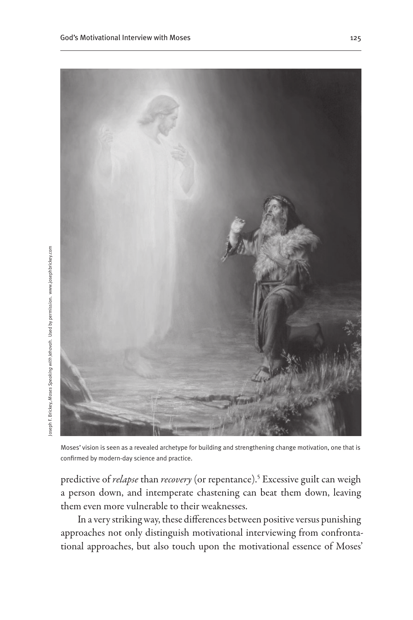

Moses' vision is seen as a revealed archetype for building and strengthening change motivation, one that is confirmed by modern-day science and practice.

predictive of *relapse* than *recovery* (or repentance).5 Excessive guilt can weigh a person down, and intemperate chastening can beat them down, leaving them even more vulnerable to their weaknesses.

In a very striking way, these differences between positive versus punishing approaches not only distinguish motivational interviewing from confrontational approaches, but also touch upon the motivational essence of Moses'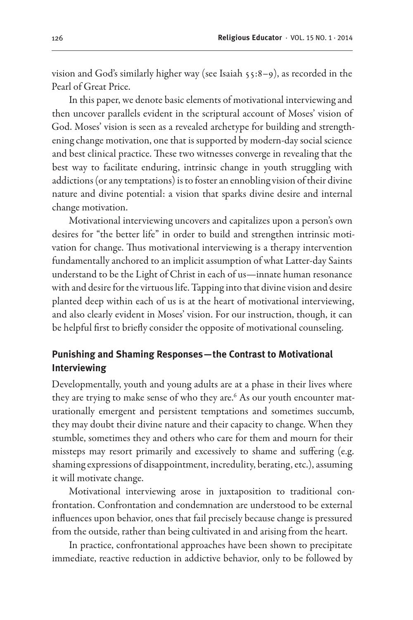vision and God's similarly higher way (see Isaiah 55:8–9), as recorded in the Pearl of Great Price.

In this paper, we denote basic elements of motivational interviewing and then uncover parallels evident in the scriptural account of Moses' vision of God. Moses' vision is seen as a revealed archetype for building and strengthening change motivation, one that is supported by modern-day social science and best clinical practice. These two witnesses converge in revealing that the best way to facilitate enduring, intrinsic change in youth struggling with addictions (or any temptations) is to foster an ennobling vision of their divine nature and divine potential: a vision that sparks divine desire and internal change motivation.

Motivational interviewing uncovers and capitalizes upon a person's own desires for "the better life" in order to build and strengthen intrinsic motivation for change. Thus motivational interviewing is a therapy intervention fundamentally anchored to an implicit assumption of what Latter-day Saints understand to be the Light of Christ in each of us—innate human resonance with and desire for the virtuous life. Tapping into that divine vision and desire planted deep within each of us is at the heart of motivational interviewing, and also clearly evident in Moses' vision. For our instruction, though, it can be helpful first to briefly consider the opposite of motivational counseling.

# **Punishing and Shaming Responses—the Contrast to Motivational Interviewing**

Developmentally, youth and young adults are at a phase in their lives where they are trying to make sense of who they are. $^6$  As our youth encounter maturationally emergent and persistent temptations and sometimes succumb, they may doubt their divine nature and their capacity to change. When they stumble, sometimes they and others who care for them and mourn for their missteps may resort primarily and excessively to shame and suffering (e.g. shaming expressions of disappointment, incredulity, berating, etc.), assuming it will motivate change.

Motivational interviewing arose in juxtaposition to traditional confrontation. Confrontation and condemnation are understood to be external influences upon behavior, ones that fail precisely because change is pressured from the outside, rather than being cultivated in and arising from the heart.

In practice, confrontational approaches have been shown to precipitate immediate, reactive reduction in addictive behavior, only to be followed by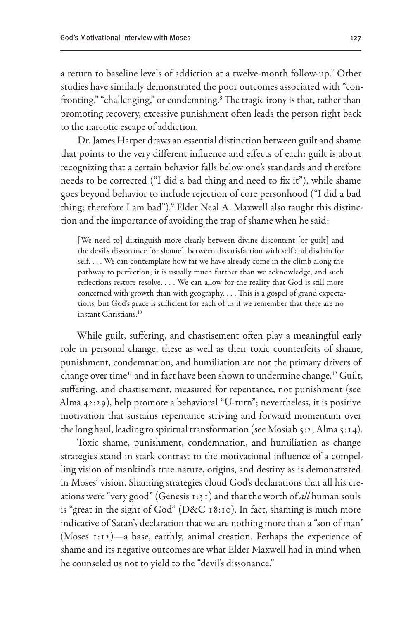a return to baseline levels of addiction at a twelve-month follow-up.7 Other studies have similarly demonstrated the poor outcomes associated with "confronting," "challenging," or condemning.8 The tragic irony is that, rather than promoting recovery, excessive punishment often leads the person right back to the narcotic escape of addiction.

Dr. James Harper draws an essential distinction between guilt and shame that points to the very different influence and effects of each: guilt is about recognizing that a certain behavior falls below one's standards and therefore needs to be corrected ("I did a bad thing and need to fix it"), while shame goes beyond behavior to include rejection of core personhood ("I did a bad thing; therefore I am bad").<sup>9</sup> Elder Neal A. Maxwell also taught this distinction and the importance of avoiding the trap of shame when he said:

[We need to] distinguish more clearly between divine discontent [or guilt] and the devil's dissonance [or shame], between dissatisfaction with self and disdain for self. . . . We can contemplate how far we have already come in the climb along the pathway to perfection; it is usually much further than we acknowledge, and such reflections restore resolve. . . . We can allow for the reality that God is still more concerned with growth than with geography. . . . This is a gospel of grand expectations, but God's grace is sufficient for each of us if we remember that there are no instant Christians.10

While guilt, suffering, and chastisement often play a meaningful early role in personal change, these as well as their toxic counterfeits of shame, punishment, condemnation, and humiliation are not the primary drivers of change over time<sup>11</sup> and in fact have been shown to undermine change.<sup>12</sup> Guilt, suffering, and chastisement, measured for repentance, not punishment (see Alma 42:29), help promote a behavioral "U-turn"; nevertheless, it is positive motivation that sustains repentance striving and forward momentum over the long haul, leading to spiritual transformation (see Mosiah 5:2; Alma 5:14).

Toxic shame, punishment, condemnation, and humiliation as change strategies stand in stark contrast to the motivational influence of a compelling vision of mankind's true nature, origins, and destiny as is demonstrated in Moses' vision. Shaming strategies cloud God's declarations that all his creations were "very good" (Genesis 1:31) and that the worth of *all* human souls is "great in the sight of God" (D&C 18:10). In fact, shaming is much more indicative of Satan's declaration that we are nothing more than a "son of man" (Moses 1:12)—a base, earthly, animal creation. Perhaps the experience of shame and its negative outcomes are what Elder Maxwell had in mind when he counseled us not to yield to the "devil's dissonance."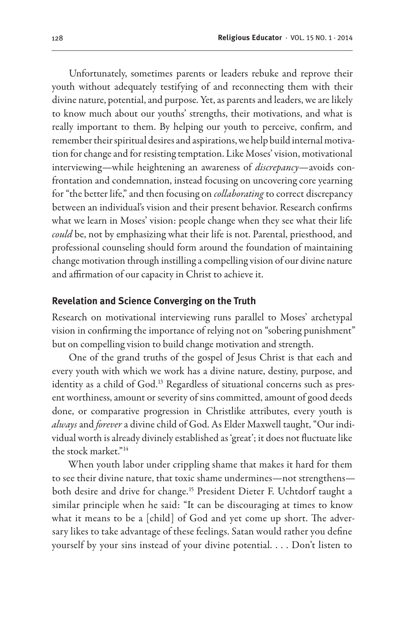Unfortunately, sometimes parents or leaders rebuke and reprove their youth without adequately testifying of and reconnecting them with their divine nature, potential, and purpose. Yet, as parents and leaders, we are likely to know much about our youths' strengths, their motivations, and what is really important to them. By helping our youth to perceive, confirm, and remember their spiritual desires and aspirations, we help build internal motivation for change and for resisting temptation. Like Moses' vision, motivational interviewing—while heightening an awareness of *discrepancy*—avoids confrontation and condemnation, instead focusing on uncovering core yearning for "the better life," and then focusing on *collaborating* to correct discrepancy between an individual's vision and their present behavior. Research confirms what we learn in Moses' vision: people change when they see what their life *could* be, not by emphasizing what their life is not. Parental, priesthood, and professional counseling should form around the foundation of maintaining change motivation through instilling a compelling vision of our divine nature and affirmation of our capacity in Christ to achieve it.

#### **Revelation and Science Converging on the Truth**

Research on motivational interviewing runs parallel to Moses' archetypal vision in confirming the importance of relying not on "sobering punishment" but on compelling vision to build change motivation and strength.

One of the grand truths of the gospel of Jesus Christ is that each and every youth with which we work has a divine nature, destiny, purpose, and identity as a child of God.<sup>13</sup> Regardless of situational concerns such as present worthiness, amount or severity of sins committed, amount of good deeds done, or comparative progression in Christlike attributes, every youth is *always* and *forever* a divine child of God. As Elder Maxwell taught, "Our individual worth is already divinely established as 'great'; it does not fluctuate like the stock market."14

When youth labor under crippling shame that makes it hard for them to see their divine nature, that toxic shame undermines—not strengthens both desire and drive for change.15 President Dieter F. Uchtdorf taught a similar principle when he said: "It can be discouraging at times to know what it means to be a [child] of God and yet come up short. The adversary likes to take advantage of these feelings. Satan would rather you define yourself by your sins instead of your divine potential. . . . Don't listen to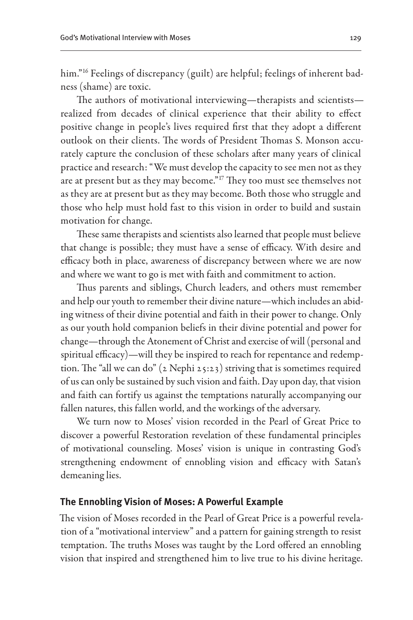him."16 Feelings of discrepancy (guilt) are helpful; feelings of inherent badness (shame) are toxic.

The authors of motivational interviewing—therapists and scientists realized from decades of clinical experience that their ability to effect positive change in people's lives required first that they adopt a different outlook on their clients. The words of President Thomas S. Monson accurately capture the conclusion of these scholars after many years of clinical practice and research: "We must develop the capacity to see men not as they are at present but as they may become."<sup>17</sup> They too must see themselves not as they are at present but as they may become. Both those who struggle and those who help must hold fast to this vision in order to build and sustain motivation for change.

These same therapists and scientists also learned that people must believe that change is possible; they must have a sense of efficacy. With desire and efficacy both in place, awareness of discrepancy between where we are now and where we want to go is met with faith and commitment to action.

Thus parents and siblings, Church leaders, and others must remember and help our youth to remember their divine nature—which includes an abiding witness of their divine potential and faith in their power to change. Only as our youth hold companion beliefs in their divine potential and power for change—through the Atonement of Christ and exercise of will (personal and spiritual efficacy)—will they be inspired to reach for repentance and redemption. The "all we can do" (2 Nephi 25:23) striving that is sometimes required of us can only be sustained by such vision and faith. Day upon day, that vision and faith can fortify us against the temptations naturally accompanying our fallen natures, this fallen world, and the workings of the adversary.

We turn now to Moses' vision recorded in the Pearl of Great Price to discover a powerful Restoration revelation of these fundamental principles of motivational counseling. Moses' vision is unique in contrasting God's strengthening endowment of ennobling vision and efficacy with Satan's demeaning lies.

#### **The Ennobling Vision of Moses: A Powerful Example**

The vision of Moses recorded in the Pearl of Great Price is a powerful revelation of a "motivational interview" and a pattern for gaining strength to resist temptation. The truths Moses was taught by the Lord offered an ennobling vision that inspired and strengthened him to live true to his divine heritage.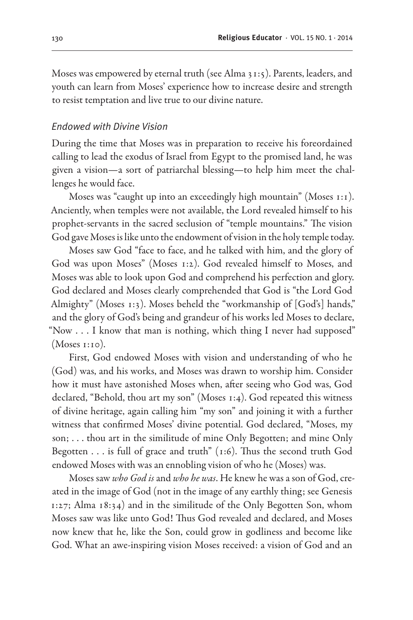Moses was empowered by eternal truth (see Alma 31:5). Parents, leaders, and youth can learn from Moses' experience how to increase desire and strength to resist temptation and live true to our divine nature.

#### *Endowed with Divine Vision*

During the time that Moses was in preparation to receive his foreordained calling to lead the exodus of Israel from Egypt to the promised land, he was given a vision—a sort of patriarchal blessing—to help him meet the challenges he would face.

Moses was "caught up into an exceedingly high mountain" (Moses 1:1). Anciently, when temples were not available, the Lord revealed himself to his prophet-servants in the sacred seclusion of "temple mountains." The vision God gave Moses is like unto the endowment of vision in the holy temple today.

Moses saw God "face to face, and he talked with him, and the glory of God was upon Moses" (Moses 1:2). God revealed himself to Moses, and Moses was able to look upon God and comprehend his perfection and glory. God declared and Moses clearly comprehended that God is "the Lord God Almighty" (Moses 1:3). Moses beheld the "workmanship of [God's] hands," and the glory of God's being and grandeur of his works led Moses to declare, "Now . . . I know that man is nothing, which thing I never had supposed" (Moses 1:10).

First, God endowed Moses with vision and understanding of who he (God) was, and his works, and Moses was drawn to worship him. Consider how it must have astonished Moses when, after seeing who God was, God declared, "Behold, thou art my son" (Moses 1:4). God repeated this witness of divine heritage, again calling him "my son" and joining it with a further witness that confirmed Moses' divine potential. God declared, "Moses, my son; . . . thou art in the similitude of mine Only Begotten; and mine Only Begotten  $\ldots$  is full of grace and truth" (1:6). Thus the second truth God endowed Moses with was an ennobling vision of who he (Moses) was.

Moses saw *who God is* and *who he was*. He knew he was a son of God, created in the image of God (not in the image of any earthly thing; see Genesis 1:27; Alma 18:34) and in the similitude of the Only Begotten Son, whom Moses saw was like unto God! Thus God revealed and declared, and Moses now knew that he, like the Son, could grow in godliness and become like God. What an awe-inspiring vision Moses received: a vision of God and an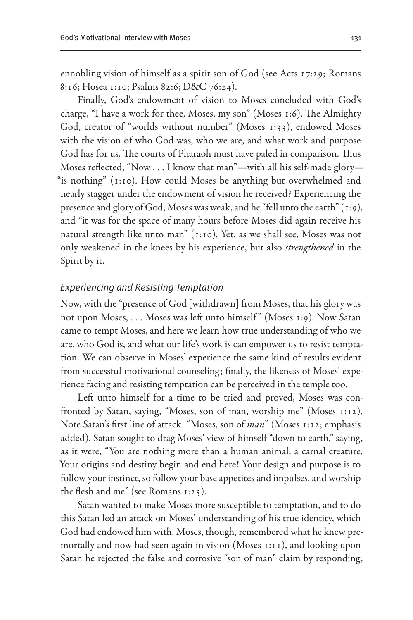ennobling vision of himself as a spirit son of God (see Acts 17:29; Romans 8:16; Hosea 1:10; Psalms 82:6; D&C 76:24).

Finally, God's endowment of vision to Moses concluded with God's charge, "I have a work for thee, Moses, my son" (Moses 1:6). The Almighty God, creator of "worlds without number" (Moses 1:33), endowed Moses with the vision of who God was, who we are, and what work and purpose God has for us. The courts of Pharaoh must have paled in comparison. Thus Moses reflected, "Now . . . I know that man"—with all his self-made glory— "is nothing" (1:10). How could Moses be anything but overwhelmed and nearly stagger under the endowment of vision he received? Experiencing the presence and glory of God, Moses was weak, and he "fell unto the earth" (1:9), and "it was for the space of many hours before Moses did again receive his natural strength like unto man" (1:10). Yet, as we shall see, Moses was not only weakened in the knees by his experience, but also *strengthened* in the Spirit by it.

#### *Experiencing and Resisting Temptation*

Now, with the "presence of God [withdrawn] from Moses, that his glory was not upon Moses, . . . Moses was left unto himself" (Moses 1:9). Now Satan came to tempt Moses, and here we learn how true understanding of who we are, who God is, and what our life's work is can empower us to resist temptation. We can observe in Moses' experience the same kind of results evident from successful motivational counseling; finally, the likeness of Moses' experience facing and resisting temptation can be perceived in the temple too.

Left unto himself for a time to be tried and proved, Moses was confronted by Satan, saying, "Moses, son of man, worship me" (Moses 1:12). Note Satan's first line of attack: "Moses, son of *man*" (Moses 1:12; emphasis added). Satan sought to drag Moses' view of himself "down to earth," saying, as it were, "You are nothing more than a human animal, a carnal creature. Your origins and destiny begin and end here! Your design and purpose is to follow your instinct, so follow your base appetites and impulses, and worship the flesh and me" (see Romans 1:25).

Satan wanted to make Moses more susceptible to temptation, and to do this Satan led an attack on Moses' understanding of his true identity, which God had endowed him with. Moses, though, remembered what he knew premortally and now had seen again in vision (Moses 1:11), and looking upon Satan he rejected the false and corrosive "son of man" claim by responding,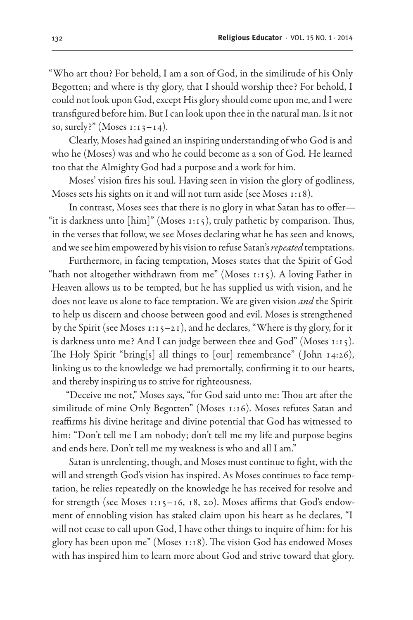"Who art thou? For behold, I am a son of God, in the similitude of his Only Begotten; and where is thy glory, that I should worship thee? For behold, I could not look upon God, except His glory should come upon me, and I were transfigured before him. But I can look upon thee in the natural man. Is it not so, surely?" (Moses  $1:13-14$ ).

Clearly, Moses had gained an inspiring understanding of who God is and who he (Moses) was and who he could become as a son of God. He learned too that the Almighty God had a purpose and a work for him.

Moses' vision fires his soul. Having seen in vision the glory of godliness, Moses sets his sights on it and will not turn aside (see Moses 1:18).

In contrast, Moses sees that there is no glory in what Satan has to offer— "it is darkness unto [him]" (Moses 1:15), truly pathetic by comparison. Thus, in the verses that follow, we see Moses declaring what he has seen and knows, and we see him empowered by his vision to refuse Satan's *repeated* temptations.

Furthermore, in facing temptation, Moses states that the Spirit of God "hath not altogether withdrawn from me" (Moses 1:15). A loving Father in Heaven allows us to be tempted, but he has supplied us with vision, and he does not leave us alone to face temptation. We are given vision *and* the Spirit to help us discern and choose between good and evil. Moses is strengthened by the Spirit (see Moses 1:15–21), and he declares, "Where is thy glory, for it is darkness unto me? And I can judge between thee and God" (Moses 1:15). The Holy Spirit "bring[s] all things to [our] remembrance" ( John 14:26), linking us to the knowledge we had premortally, confirming it to our hearts, and thereby inspiring us to strive for righteousness.

"Deceive me not," Moses says, "for God said unto me: Thou art after the similitude of mine Only Begotten" (Moses 1:16). Moses refutes Satan and reaffirms his divine heritage and divine potential that God has witnessed to him: "Don't tell me I am nobody; don't tell me my life and purpose begins and ends here. Don't tell me my weakness is who and all I am."

Satan is unrelenting, though, and Moses must continue to fight, with the will and strength God's vision has inspired. As Moses continues to face temptation, he relies repeatedly on the knowledge he has received for resolve and for strength (see Moses 1:15-16, 18, 20). Moses affirms that God's endowment of ennobling vision has staked claim upon his heart as he declares, "I will not cease to call upon God, I have other things to inquire of him: for his glory has been upon me" (Moses 1:18). The vision God has endowed Moses with has inspired him to learn more about God and strive toward that glory.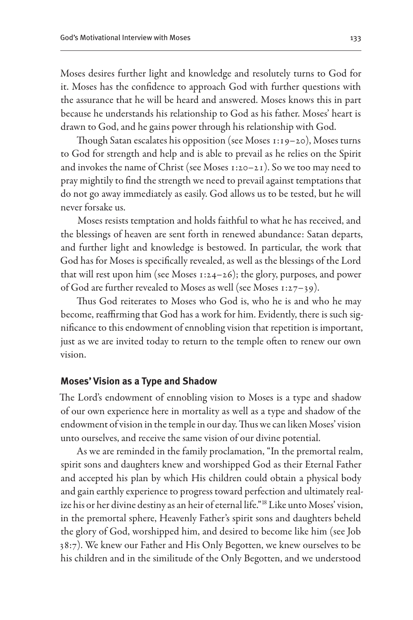Moses desires further light and knowledge and resolutely turns to God for it. Moses has the confidence to approach God with further questions with the assurance that he will be heard and answered. Moses knows this in part because he understands his relationship to God as his father. Moses' heart is drawn to God, and he gains power through his relationship with God.

Though Satan escalates his opposition (see Moses 1:19–20), Moses turns to God for strength and help and is able to prevail as he relies on the Spirit and invokes the name of Christ (see Moses 1:20–21). So we too may need to pray mightily to find the strength we need to prevail against temptations that do not go away immediately as easily. God allows us to be tested, but he will never forsake us.

Moses resists temptation and holds faithful to what he has received, and the blessings of heaven are sent forth in renewed abundance: Satan departs, and further light and knowledge is bestowed. In particular, the work that God has for Moses is specifically revealed, as well as the blessings of the Lord that will rest upon him (see Moses 1:24–26); the glory, purposes, and power of God are further revealed to Moses as well (see Moses 1:27–39).

Thus God reiterates to Moses who God is, who he is and who he may become, reaffirming that God has a work for him. Evidently, there is such significance to this endowment of ennobling vision that repetition is important, just as we are invited today to return to the temple often to renew our own vision.

#### **Moses' Vision as a Type and Shadow**

The Lord's endowment of ennobling vision to Moses is a type and shadow of our own experience here in mortality as well as a type and shadow of the endowment of vision in the temple in our day. Thus we can liken Moses' vision unto ourselves, and receive the same vision of our divine potential.

As we are reminded in the family proclamation, "In the premortal realm, spirit sons and daughters knew and worshipped God as their Eternal Father and accepted his plan by which His children could obtain a physical body and gain earthly experience to progress toward perfection and ultimately realize his or her divine destiny as an heir of eternal life."18 Like unto Moses' vision, in the premortal sphere, Heavenly Father's spirit sons and daughters beheld the glory of God, worshipped him, and desired to become like him (see Job 38:7). We knew our Father and His Only Begotten, we knew ourselves to be his children and in the similitude of the Only Begotten, and we understood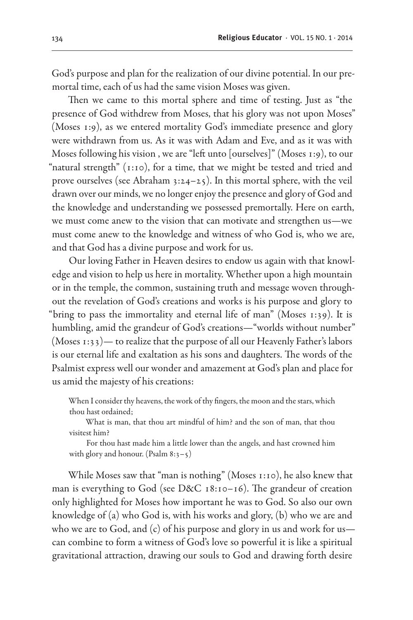God's purpose and plan for the realization of our divine potential. In our premortal time, each of us had the same vision Moses was given.

Then we came to this mortal sphere and time of testing. Just as "the presence of God withdrew from Moses, that his glory was not upon Moses" (Moses 1:9), as we entered mortality God's immediate presence and glory were withdrawn from us. As it was with Adam and Eve, and as it was with Moses following his vision , we are "left unto [ourselves]" (Moses 1:9), to our "natural strength" (1:10), for a time, that we might be tested and tried and prove ourselves (see Abraham 3:24–25). In this mortal sphere, with the veil drawn over our minds, we no longer enjoy the presence and glory of God and the knowledge and understanding we possessed premortally. Here on earth, we must come anew to the vision that can motivate and strengthen us—we must come anew to the knowledge and witness of who God is, who we are, and that God has a divine purpose and work for us.

Our loving Father in Heaven desires to endow us again with that knowledge and vision to help us here in mortality. Whether upon a high mountain or in the temple, the common, sustaining truth and message woven throughout the revelation of God's creations and works is his purpose and glory to "bring to pass the immortality and eternal life of man" (Moses 1:39). It is humbling, amid the grandeur of God's creations—"worlds without number" (Moses 1:33)— to realize that the purpose of all our Heavenly Father's labors is our eternal life and exaltation as his sons and daughters. The words of the Psalmist express well our wonder and amazement at God's plan and place for us amid the majesty of his creations:

When I consider thy heavens, the work of thy fingers, the moon and the stars, which thou hast ordained;

What is man, that thou art mindful of him? and the son of man, that thou visitest him?

For thou hast made him a little lower than the angels, and hast crowned him with glory and honour. (Psalm  $8:3-5$ )

While Moses saw that "man is nothing" (Moses 1:10), he also knew that man is everything to God (see D&C 18:10–16). The grandeur of creation only highlighted for Moses how important he was to God. So also our own knowledge of (a) who God is, with his works and glory, (b) who we are and who we are to God, and (c) of his purpose and glory in us and work for us can combine to form a witness of God's love so powerful it is like a spiritual gravitational attraction, drawing our souls to God and drawing forth desire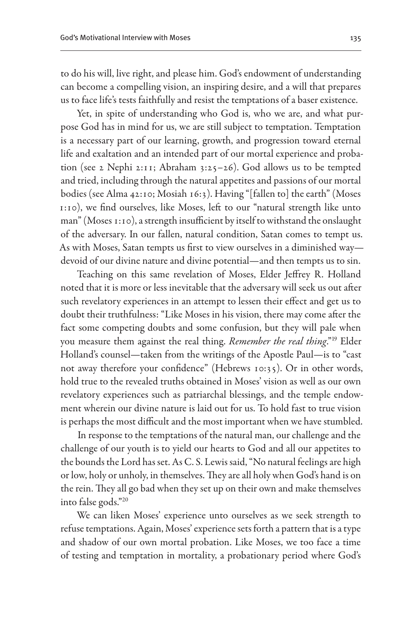to do his will, live right, and please him. God's endowment of understanding can become a compelling vision, an inspiring desire, and a will that prepares us to face life's tests faithfully and resist the temptations of a baser existence.

Yet, in spite of understanding who God is, who we are, and what purpose God has in mind for us, we are still subject to temptation. Temptation is a necessary part of our learning, growth, and progression toward eternal life and exaltation and an intended part of our mortal experience and probation (see 2 Nephi 2:11; Abraham 3:25–26). God allows us to be tempted and tried, including through the natural appetites and passions of our mortal bodies (see Alma 42:10; Mosiah 16:3). Having "[fallen to] the earth" (Moses 1:10), we find ourselves, like Moses, left to our "natural strength like unto man" (Moses 1:10), a strength insufficient by itself to withstand the onslaught of the adversary. In our fallen, natural condition, Satan comes to tempt us. As with Moses, Satan tempts us first to view ourselves in a diminished way devoid of our divine nature and divine potential—and then tempts us to sin.

Teaching on this same revelation of Moses, Elder Jeffrey R. Holland noted that it is more or less inevitable that the adversary will seek us out after such revelatory experiences in an attempt to lessen their effect and get us to doubt their truthfulness: "Like Moses in his vision, there may come after the fact some competing doubts and some confusion, but they will pale when you measure them against the real thing. *Remember the real thing*."19 Elder Holland's counsel—taken from the writings of the Apostle Paul—is to "cast not away therefore your confidence" (Hebrews 10:35). Or in other words, hold true to the revealed truths obtained in Moses' vision as well as our own revelatory experiences such as patriarchal blessings, and the temple endowment wherein our divine nature is laid out for us. To hold fast to true vision is perhaps the most difficult and the most important when we have stumbled.

In response to the temptations of the natural man, our challenge and the challenge of our youth is to yield our hearts to God and all our appetites to the bounds the Lord has set. As C. S. Lewis said, "No natural feelings are high or low, holy or unholy, in themselves. They are all holy when God's hand is on the rein. They all go bad when they set up on their own and make themselves into false gods."20

We can liken Moses' experience unto ourselves as we seek strength to refuse temptations. Again, Moses' experience sets forth a pattern that is a type and shadow of our own mortal probation. Like Moses, we too face a time of testing and temptation in mortality, a probationary period where God's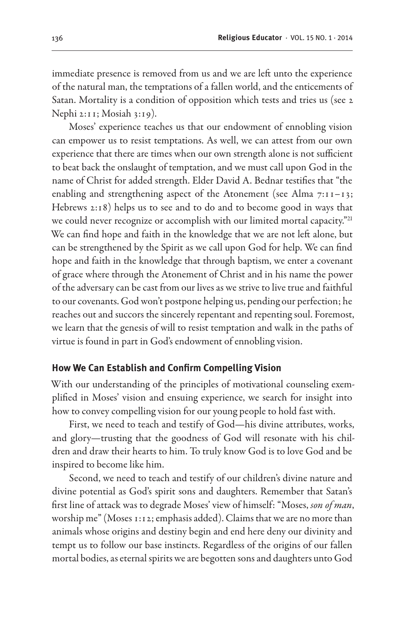immediate presence is removed from us and we are left unto the experience of the natural man, the temptations of a fallen world, and the enticements of Satan. Mortality is a condition of opposition which tests and tries us (see 2 Nephi 2:11; Mosiah 3:19).

Moses' experience teaches us that our endowment of ennobling vision can empower us to resist temptations. As well, we can attest from our own experience that there are times when our own strength alone is not sufficient to beat back the onslaught of temptation, and we must call upon God in the name of Christ for added strength. Elder David A. Bednar testifies that "the enabling and strengthening aspect of the Atonement (see Alma  $7:11-13$ ; Hebrews 2:18) helps us to see and to do and to become good in ways that we could never recognize or accomplish with our limited mortal capacity."<sup>21</sup> We can find hope and faith in the knowledge that we are not left alone, but can be strengthened by the Spirit as we call upon God for help. We can find hope and faith in the knowledge that through baptism, we enter a covenant of grace where through the Atonement of Christ and in his name the power of the adversary can be cast from our lives as we strive to live true and faithful to our covenants. God won't postpone helping us, pending our perfection; he reaches out and succors the sincerely repentant and repenting soul. Foremost, we learn that the genesis of will to resist temptation and walk in the paths of virtue is found in part in God's endowment of ennobling vision.

#### **How We Can Establish and Confirm Compelling Vision**

With our understanding of the principles of motivational counseling exemplified in Moses' vision and ensuing experience, we search for insight into how to convey compelling vision for our young people to hold fast with.

First, we need to teach and testify of God—his divine attributes, works, and glory—trusting that the goodness of God will resonate with his children and draw their hearts to him. To truly know God is to love God and be inspired to become like him.

Second, we need to teach and testify of our children's divine nature and divine potential as God's spirit sons and daughters. Remember that Satan's first line of attack was to degrade Moses' view of himself: "Moses, *son of man*, worship me" (Moses 1:12; emphasis added). Claims that we are no more than animals whose origins and destiny begin and end here deny our divinity and tempt us to follow our base instincts. Regardless of the origins of our fallen mortal bodies, as eternal spirits we are begotten sons and daughters unto God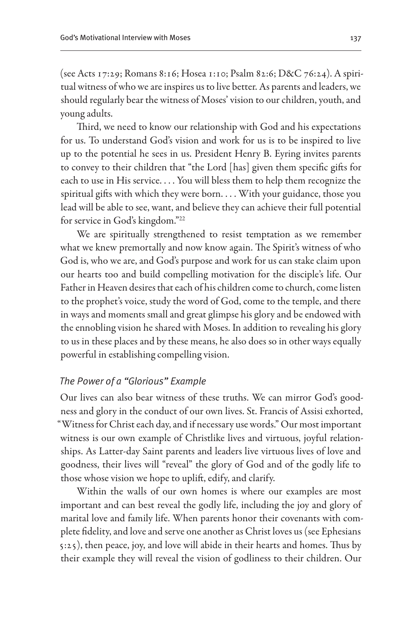(see Acts 17:29; Romans 8:16; Hosea 1:10; Psalm 82:6; D&C 76:24). A spiritual witness of who we are inspires us to live better. As parents and leaders, we should regularly bear the witness of Moses' vision to our children, youth, and young adults.

Third, we need to know our relationship with God and his expectations for us. To understand God's vision and work for us is to be inspired to live up to the potential he sees in us. President Henry B. Eyring invites parents to convey to their children that "the Lord [has] given them specific gifts for each to use in His service. . . . You will bless them to help them recognize the spiritual gifts with which they were born. . . . With your guidance, those you lead will be able to see, want, and believe they can achieve their full potential for service in God's kingdom."22

We are spiritually strengthened to resist temptation as we remember what we knew premortally and now know again. The Spirit's witness of who God is, who we are, and God's purpose and work for us can stake claim upon our hearts too and build compelling motivation for the disciple's life. Our Father in Heaven desires that each of his children come to church, come listen to the prophet's voice, study the word of God, come to the temple, and there in ways and moments small and great glimpse his glory and be endowed with the ennobling vision he shared with Moses. In addition to revealing his glory to us in these places and by these means, he also does so in other ways equally powerful in establishing compelling vision.

#### *The Power of a "Glorious" Example*

Our lives can also bear witness of these truths. We can mirror God's goodness and glory in the conduct of our own lives. St. Francis of Assisi exhorted, "Witness for Christ each day, and if necessary use words." Our most important witness is our own example of Christlike lives and virtuous, joyful relationships. As Latter-day Saint parents and leaders live virtuous lives of love and goodness, their lives will "reveal" the glory of God and of the godly life to those whose vision we hope to uplift, edify, and clarify.

Within the walls of our own homes is where our examples are most important and can best reveal the godly life, including the joy and glory of marital love and family life. When parents honor their covenants with complete fidelity, and love and serve one another as Christ loves us (see Ephesians 5:25), then peace, joy, and love will abide in their hearts and homes. Thus by their example they will reveal the vision of godliness to their children. Our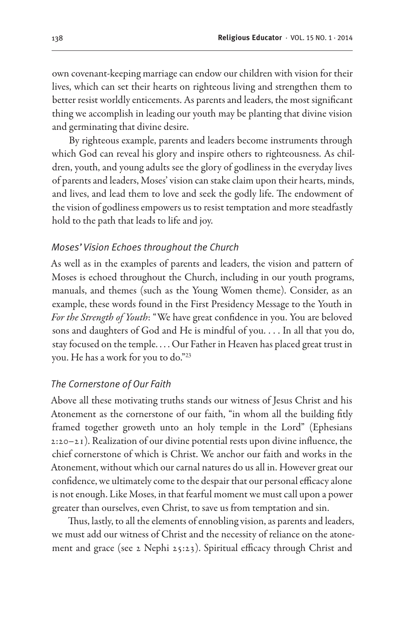own covenant-keeping marriage can endow our children with vision for their lives, which can set their hearts on righteous living and strengthen them to better resist worldly enticements. As parents and leaders, the most significant thing we accomplish in leading our youth may be planting that divine vision and germinating that divine desire.

By righteous example, parents and leaders become instruments through which God can reveal his glory and inspire others to righteousness. As children, youth, and young adults see the glory of godliness in the everyday lives of parents and leaders, Moses' vision can stake claim upon their hearts, minds, and lives, and lead them to love and seek the godly life. The endowment of the vision of godliness empowers us to resist temptation and more steadfastly hold to the path that leads to life and joy.

#### *Moses' Vision Echoes throughout the Church*

As well as in the examples of parents and leaders, the vision and pattern of Moses is echoed throughout the Church, including in our youth programs, manuals, and themes (such as the Young Women theme). Consider, as an example, these words found in the First Presidency Message to the Youth in *For the Strength of Youth*: "We have great confidence in you. You are beloved sons and daughters of God and He is mindful of you. . . . In all that you do, stay focused on the temple. . . . Our Father in Heaven has placed great trust in you. He has a work for you to do."23

#### *The Cornerstone of Our Faith*

Above all these motivating truths stands our witness of Jesus Christ and his Atonement as the cornerstone of our faith, "in whom all the building fitly framed together groweth unto an holy temple in the Lord" (Ephesians 2:20–21). Realization of our divine potential rests upon divine influence, the chief cornerstone of which is Christ. We anchor our faith and works in the Atonement, without which our carnal natures do us all in. However great our confidence, we ultimately come to the despair that our personal efficacy alone is not enough. Like Moses, in that fearful moment we must call upon a power greater than ourselves, even Christ, to save us from temptation and sin.

Thus, lastly, to all the elements of ennobling vision, as parents and leaders, we must add our witness of Christ and the necessity of reliance on the atonement and grace (see 2 Nephi 25:23). Spiritual efficacy through Christ and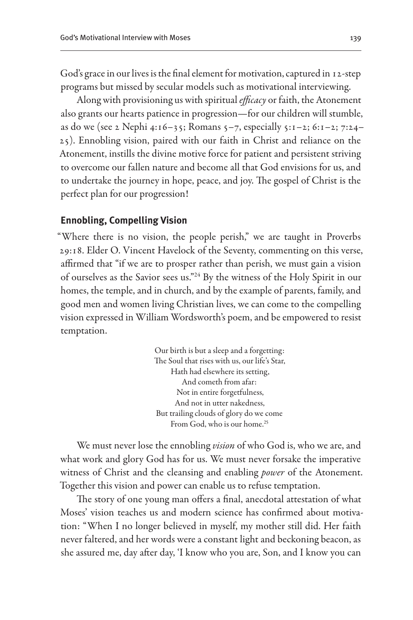God's grace in our lives is the final element for motivation, captured in 12-step programs but missed by secular models such as motivational interviewing.

Along with provisioning us with spiritual *efficacy* or faith, the Atonement also grants our hearts patience in progression—for our children will stumble, as do we (see 2 Nephi 4:16–35; Romans 5–7, especially 5:1–2; 6:1–2; 7:24– 25). Ennobling vision, paired with our faith in Christ and reliance on the Atonement, instills the divine motive force for patient and persistent striving to overcome our fallen nature and become all that God envisions for us, and to undertake the journey in hope, peace, and joy. The gospel of Christ is the perfect plan for our progression!

#### **Ennobling, Compelling Vision**

"Where there is no vision, the people perish," we are taught in Proverbs 29:18. Elder O. Vincent Havelock of the Seventy, commenting on this verse, affirmed that "if we are to prosper rather than perish, we must gain a vision of ourselves as the Savior sees us."24 By the witness of the Holy Spirit in our homes, the temple, and in church, and by the example of parents, family, and good men and women living Christian lives, we can come to the compelling vision expressed in William Wordsworth's poem, and be empowered to resist temptation.

> Our birth is but a sleep and a forgetting: The Soul that rises with us, our life's Star, Hath had elsewhere its setting, And cometh from afar: Not in entire forgetfulness, And not in utter nakedness, But trailing clouds of glory do we come From God, who is our home.<sup>25</sup>

We must never lose the ennobling *vision* of who God is, who we are, and what work and glory God has for us. We must never forsake the imperative witness of Christ and the cleansing and enabling *power* of the Atonement. Together this vision and power can enable us to refuse temptation.

The story of one young man offers a final, anecdotal attestation of what Moses' vision teaches us and modern science has confirmed about motivation: "When I no longer believed in myself, my mother still did. Her faith never faltered, and her words were a constant light and beckoning beacon, as she assured me, day after day, 'I know who you are, Son, and I know you can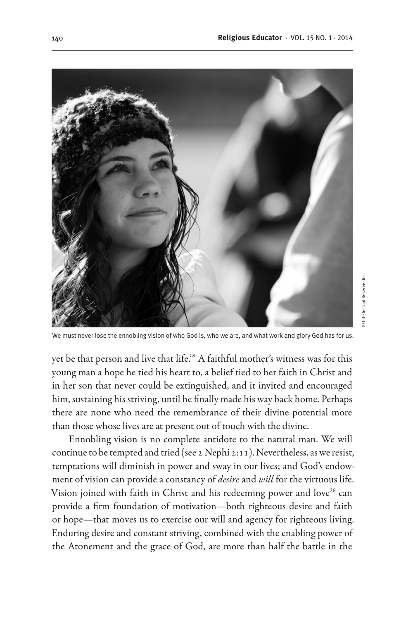© Intellectual Reserve, Inc.© Intellectual Reserve, Inc



We must never lose the ennobling vision of who God is, who we are, and what work and glory God has for us.

yet be that person and live that life.'" A faithful mother's witness was for this young man a hope he tied his heart to, a belief tied to her faith in Christ and in her son that never could be extinguished, and it invited and encouraged him, sustaining his striving, until he finally made his way back home. Perhaps there are none who need the remembrance of their divine potential more than those whose lives are at present out of touch with the divine.

Ennobling vision is no complete antidote to the natural man. We will continue to be tempted and tried (see 2 Nephi 2:11). Nevertheless, as we resist, temptations will diminish in power and sway in our lives; and God's endowment of vision can provide a constancy of *desire* and *will* for the virtuous life. Vision joined with faith in Christ and his redeeming power and love<sup>26</sup> can provide a firm foundation of motivation—both righteous desire and faith or hope—that moves us to exercise our will and agency for righteous living. Enduring desire and constant striving, combined with the enabling power of the Atonement and the grace of God, are more than half the battle in the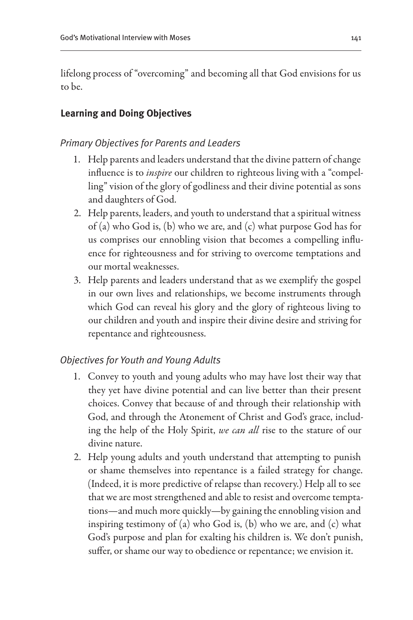lifelong process of "overcoming" and becoming all that God envisions for us to be.

# **Learning and Doing Objectives**

# *Primary Objectives for Parents and Leaders*

- 1. Help parents and leaders understand that the divine pattern of change influence is to *inspire* our children to righteous living with a "compelling" vision of the glory of godliness and their divine potential as sons and daughters of God.
- 2. Help parents, leaders, and youth to understand that a spiritual witness of (a) who God is, (b) who we are, and (c) what purpose God has for us comprises our ennobling vision that becomes a compelling influence for righteousness and for striving to overcome temptations and our mortal weaknesses.
- 3. Help parents and leaders understand that as we exemplify the gospel in our own lives and relationships, we become instruments through which God can reveal his glory and the glory of righteous living to our children and youth and inspire their divine desire and striving for repentance and righteousness.

## *Objectives for Youth and Young Adults*

- 1. Convey to youth and young adults who may have lost their way that they yet have divine potential and can live better than their present choices. Convey that because of and through their relationship with God, and through the Atonement of Christ and God's grace, including the help of the Holy Spirit, *we can all* rise to the stature of our divine nature.
- 2. Help young adults and youth understand that attempting to punish or shame themselves into repentance is a failed strategy for change. (Indeed, it is more predictive of relapse than recovery.) Help all to see that we are most strengthened and able to resist and overcome temptations—and much more quickly—by gaining the ennobling vision and inspiring testimony of (a) who God is, (b) who we are, and (c) what God's purpose and plan for exalting his children is. We don't punish, suffer, or shame our way to obedience or repentance; we envision it.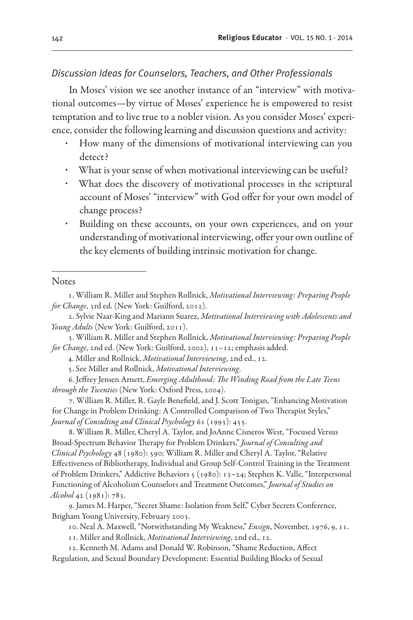## *Discussion Ideas for Counselors, Teachers, and Other Professionals*

In Moses' vision we see another instance of an "interview" with motivational outcomes—by virtue of Moses' experience he is empowered to resist temptation and to live true to a nobler vision. As you consider Moses' experience, consider the following learning and discussion questions and activity:

- How many of the dimensions of motivational interviewing can you detect?
- What is your sense of when motivational interviewing can be useful?
- What does the discovery of motivational processes in the scriptural account of Moses' "interview" with God offer for your own model of change process?
- Building on these accounts, on your own experiences, and on your understanding of motivational interviewing, offer your own outline of the key elements of building intrinsic motivation for change.

#### **Notes**

3. William R. Miller and Stephen Rollnick, *Motivational Interviewing: Preparing People for Change*, 2nd ed. (New York: Guilford, 2002), 11–12; emphasis added.

4. Miller and Rollnick, *Motivational Interviewing*, 2nd ed., 12.

6. Jeffrey Jensen Arnett, *Emerging Adulthood: The Winding Road from the Late Teens through the Twenties* (New York: Oxford Press, 2004).

7. William R. Miller, R. Gayle Benefield, and J. Scott Tonigan, "Enhancing Motivation for Change in Problem Drinking: A Controlled Comparison of Two Therapist Styles," *Journal of Consulting and Clinical Psychology* 61 (1993): 455.

8. William R. Miller, Cheryl A. Taylor, and JoAnne Cisneros West, "Focused Versus Broad-Spectrum Behavior Therapy for Problem Drinkers," *Journal of Consulting and Clinical Psychology* 48 (1980): 590; William R. Miller and Cheryl A. Taylor, "Relative Effectiveness of Bibliotherapy, Individual and Group Self-Control Training in the Treatment of Problem Drinkers," Addictive Behaviors 5 (1980): 13-24; Stephen K. Valle, "Interpersonal Functioning of Alcoholism Counselors and Treatment Outcomes," *Journal of Studies on Alcohol* 42 (1981): 783.

10. Neal A. Maxwell, "Notwithstanding My Weakness," *Ensign*, November, 1976, 9, 11.

11. Miller and Rollnick, *Motivational Interviewing*, 2nd ed., 12.

12. Kenneth M. Adams and Donald W. Robinson, "Shame Reduction, Affect Regulation, and Sexual Boundary Development: Essential Building Blocks of Sexual

<sup>1.</sup> William R. Miller and Stephen Rollnick, *Motivational Interviewing: Preparing People for Change*, 3rd ed. (New York: Guilford, 2012).

<sup>2.</sup> Sylvie Naar-King and Mariann Suarez, *Motivational Interviewing with Adolescents and Young Adults* (New York: Guilford, 2011).

<sup>5.</sup> See Miller and Rollnick, *Motivational Interviewing*.

<sup>9.</sup> James M. Harper, "Secret Shame: Isolation from Self," Cyber Secrets Conference, Brigham Young University, February 2003.